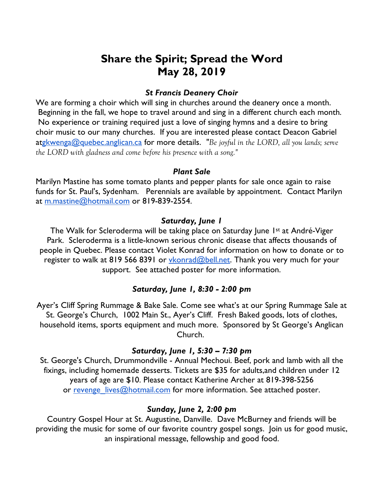# **Share the Spirit; Spread the Word May 28, 2019**

## *St Francis Deanery Choir*

We are forming a choir which will sing in churches around the deanery once a month. Beginning in the fall, we hope to travel around and sing in a different church each month. No experience or training required just a love of singing hymns and a desire to bring choir music to our many churches. If you are interested please contact Deacon Gabriel atgkwenga@quebec.anglican.ca for more details. *"Be joyful in the LORD, all you lands; serve the LORD with gladness and come before his presence with a song."*

#### *Plant Sale*

Marilyn Mastine has some tomato plants and pepper plants for sale once again to raise funds for St. Paul's, Sydenham. Perennials are available by appointment. Contact Marilyn at m.mastine@hotmail.com or 819-839-2554.

#### *Saturday, June 1*

The Walk for Scleroderma will be taking place on Saturday June 1<sup>st</sup> at André-Viger Park. Scleroderma is a little-known serious chronic disease that affects thousands of people in Quebec. Please contact Violet Konrad for information on how to donate or to register to walk at 819 566 8391 or *ykonrad@bell.net*. Thank you very much for your support. See attached poster for more information.

## *Saturday, June 1, 8:30 - 2:00 pm*

Ayer's Cliff Spring Rummage & Bake Sale. Come see what's at our Spring Rummage Sale at St. George's Church, 1002 Main St., Ayer's Cliff. Fresh Baked goods, lots of clothes, household items, sports equipment and much more. Sponsored by St George's Anglican Church.

#### *Saturday, June 1, 5:30 – 7:30 pm*

St. George's Church, Drummondville - Annual Mechoui. Beef, pork and lamb with all the fixings, including homemade desserts. Tickets are \$35 for adults,and children under 12 years of age are \$10. Please contact Katherine Archer at 819-398-5256 or revenge lives@hotmail.com for more information. See attached poster.

# *Sunday, June 2, 2:00 pm*

Country Gospel Hour at St. Augustine, Danville. Dave McBurney and friends will be providing the music for some of our favorite country gospel songs. Join us for good music, an inspirational message, fellowship and good food.